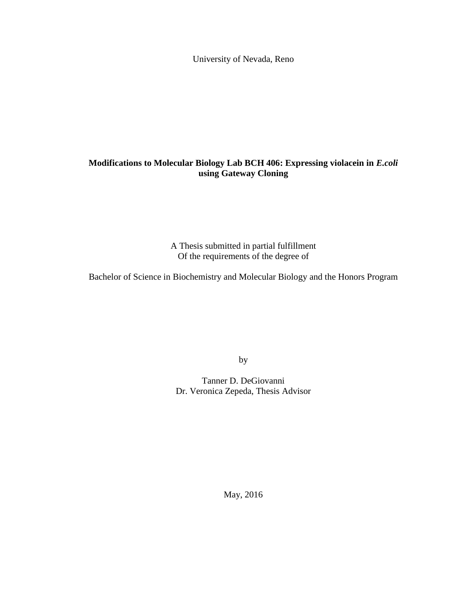University of Nevada, Reno

# **Modifications to Molecular Biology Lab BCH 406: Expressing violacein in** *E.coli*  **using Gateway Cloning**

A Thesis submitted in partial fulfillment Of the requirements of the degree of

Bachelor of Science in Biochemistry and Molecular Biology and the Honors Program

by

Tanner D. DeGiovanni Dr. Veronica Zepeda, Thesis Advisor

May, 2016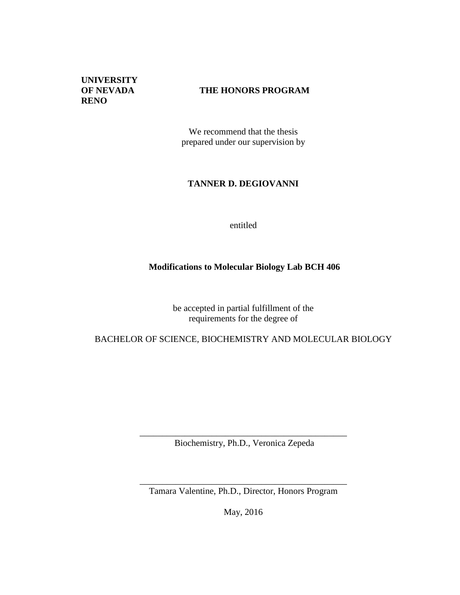**UNIVERSITY RENO**

# **OF NEVADA THE HONORS PROGRAM**

We recommend that the thesis prepared under our supervision by

# **TANNER D. DEGIOVANNI**

entitled

# **Modifications to Molecular Biology Lab BCH 406**

be accepted in partial fulfillment of the requirements for the degree of

# BACHELOR OF SCIENCE, BIOCHEMISTRY AND MOLECULAR BIOLOGY

\_\_\_\_\_\_\_\_\_\_\_\_\_\_\_\_\_\_\_\_\_\_\_\_\_\_\_\_\_\_\_\_\_\_\_\_\_\_\_\_\_\_\_\_\_\_ Biochemistry, Ph.D., Veronica Zepeda

\_\_\_\_\_\_\_\_\_\_\_\_\_\_\_\_\_\_\_\_\_\_\_\_\_\_\_\_\_\_\_\_\_\_\_\_\_\_\_\_\_\_\_\_\_\_ Tamara Valentine, Ph.D., Director, Honors Program

May, 2016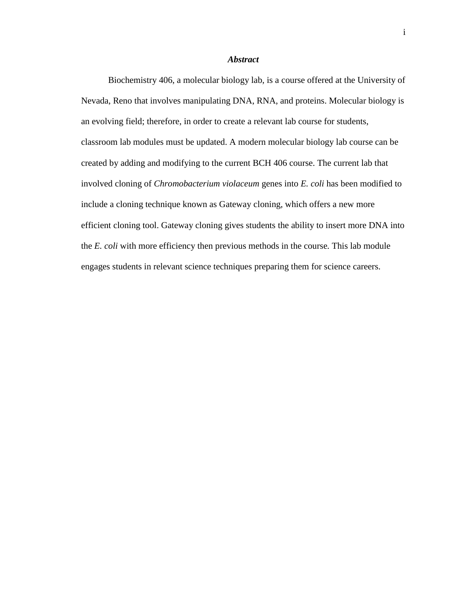#### *Abstract*

Biochemistry 406, a molecular biology lab, is a course offered at the University of Nevada, Reno that involves manipulating DNA, RNA, and proteins. Molecular biology is an evolving field; therefore, in order to create a relevant lab course for students, classroom lab modules must be updated. A modern molecular biology lab course can be created by adding and modifying to the current BCH 406 course. The current lab that involved cloning of *Chromobacterium violaceum* genes into *E. coli* has been modified to include a cloning technique known as Gateway cloning, which offers a new more efficient cloning tool. Gateway cloning gives students the ability to insert more DNA into the *E. coli* with more efficiency then previous methods in the course*.* This lab module engages students in relevant science techniques preparing them for science careers.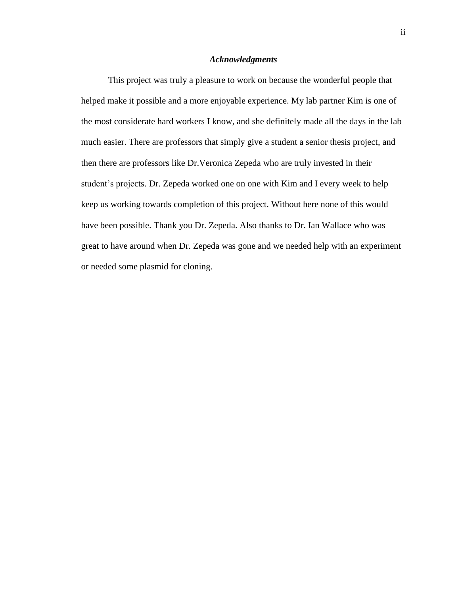### *Acknowledgments*

This project was truly a pleasure to work on because the wonderful people that helped make it possible and a more enjoyable experience. My lab partner Kim is one of the most considerate hard workers I know, and she definitely made all the days in the lab much easier. There are professors that simply give a student a senior thesis project, and then there are professors like Dr.Veronica Zepeda who are truly invested in their student's projects. Dr. Zepeda worked one on one with Kim and I every week to help keep us working towards completion of this project. Without here none of this would have been possible. Thank you Dr. Zepeda. Also thanks to Dr. Ian Wallace who was great to have around when Dr. Zepeda was gone and we needed help with an experiment or needed some plasmid for cloning.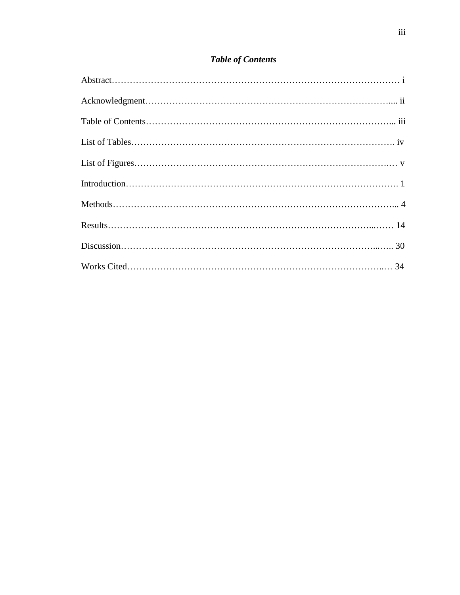# *Table of Contents*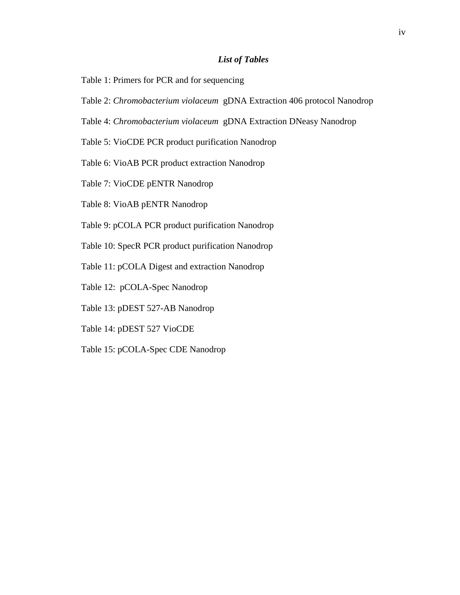## *List of Tables*

- Table 1: Primers for PCR and for sequencing
- Table 2: *Chromobacterium violaceum* gDNA Extraction 406 protocol Nanodrop
- Table 4: *Chromobacterium violaceum* gDNA Extraction DNeasy Nanodrop
- Table 5: VioCDE PCR product purification Nanodrop
- Table 6: VioAB PCR product extraction Nanodrop
- Table 7: VioCDE pENTR Nanodrop
- Table 8: VioAB pENTR Nanodrop
- Table 9: pCOLA PCR product purification Nanodrop
- Table 10: SpecR PCR product purification Nanodrop
- Table 11: pCOLA Digest and extraction Nanodrop
- Table 12: pCOLA-Spec Nanodrop
- Table 13: pDEST 527-AB Nanodrop
- Table 14: pDEST 527 VioCDE
- Table 15: pCOLA-Spec CDE Nanodrop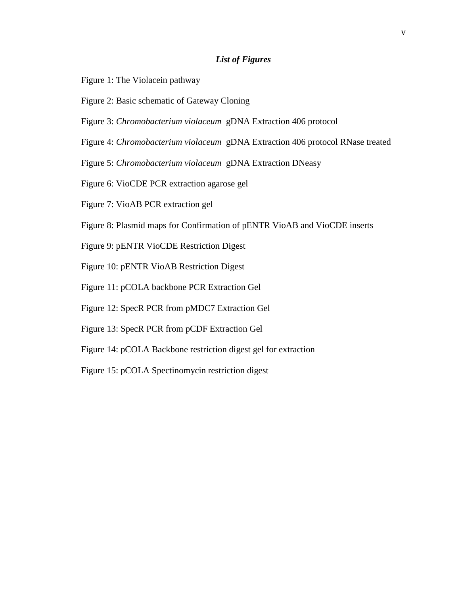## *List of Figures*

- Figure 1: The Violacein pathway
- Figure 2: Basic schematic of Gateway Cloning
- Figure 3: *Chromobacterium violaceum* gDNA Extraction 406 protocol
- Figure 4: *Chromobacterium violaceum* gDNA Extraction 406 protocol RNase treated
- Figure 5: *Chromobacterium violaceum* gDNA Extraction DNeasy
- Figure 6: VioCDE PCR extraction agarose gel
- Figure 7: VioAB PCR extraction gel
- Figure 8: Plasmid maps for Confirmation of pENTR VioAB and VioCDE inserts
- Figure 9: pENTR VioCDE Restriction Digest
- Figure 10: pENTR VioAB Restriction Digest
- Figure 11: pCOLA backbone PCR Extraction Gel
- Figure 12: SpecR PCR from pMDC7 Extraction Gel
- Figure 13: SpecR PCR from pCDF Extraction Gel
- Figure 14: pCOLA Backbone restriction digest gel for extraction
- Figure 15: pCOLA Spectinomycin restriction digest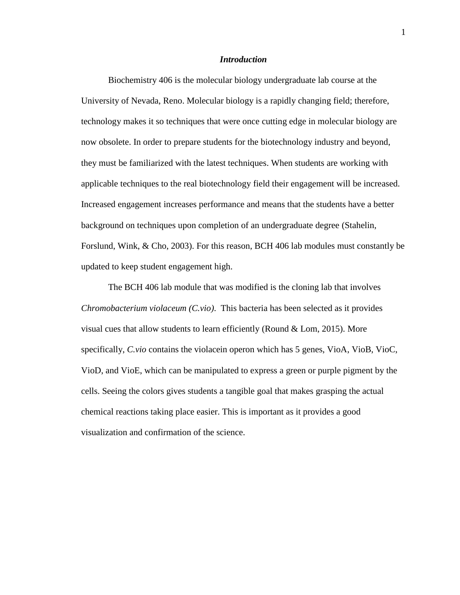### *Introduction*

Biochemistry 406 is the molecular biology undergraduate lab course at the University of Nevada, Reno. Molecular biology is a rapidly changing field; therefore, technology makes it so techniques that were once cutting edge in molecular biology are now obsolete. In order to prepare students for the biotechnology industry and beyond, they must be familiarized with the latest techniques. When students are working with applicable techniques to the real biotechnology field their engagement will be increased. Increased engagement increases performance and means that the students have a better background on techniques upon completion of an undergraduate degree (Stahelin, Forslund, Wink, & Cho, 2003). For this reason, BCH 406 lab modules must constantly be updated to keep student engagement high.

The BCH 406 lab module that was modified is the cloning lab that involves *Chromobacterium violaceum (C.vio)*. This bacteria has been selected as it provides visual cues that allow students to learn efficiently (Round & Lom, 2015). More specifically, *C.vio* contains the violacein operon which has 5 genes, VioA, VioB, VioC, VioD, and VioE, which can be manipulated to express a green or purple pigment by the cells. Seeing the colors gives students a tangible goal that makes grasping the actual chemical reactions taking place easier. This is important as it provides a good visualization and confirmation of the science.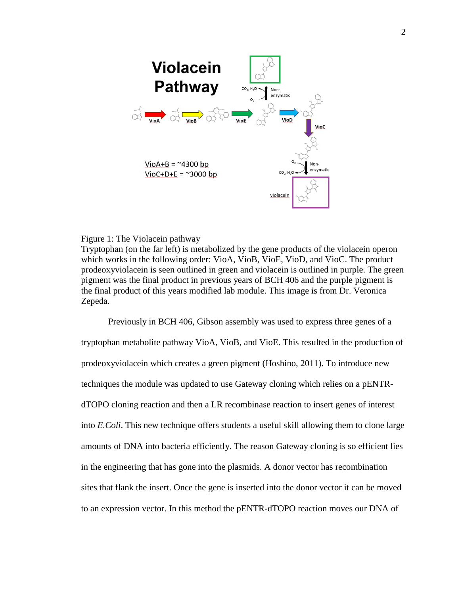

#### Figure 1: The Violacein pathway

Tryptophan (on the far left) is metabolized by the gene products of the violacein operon which works in the following order: VioA, VioB, VioE, VioD, and VioC. The product prodeoxyviolacein is seen outlined in green and violacein is outlined in purple. The green pigment was the final product in previous years of BCH 406 and the purple pigment is the final product of this years modified lab module. This image is from Dr. Veronica Zepeda.

Previously in BCH 406, Gibson assembly was used to express three genes of a tryptophan metabolite pathway VioA, VioB, and VioE. This resulted in the production of prodeoxyviolacein which creates a green pigment (Hoshino, 2011). To introduce new techniques the module was updated to use Gateway cloning which relies on a pENTRdTOPO cloning reaction and then a LR recombinase reaction to insert genes of interest into *E.Coli*. This new technique offers students a useful skill allowing them to clone large amounts of DNA into bacteria efficiently. The reason Gateway cloning is so efficient lies in the engineering that has gone into the plasmids. A donor vector has recombination sites that flank the insert. Once the gene is inserted into the donor vector it can be moved to an expression vector. In this method the pENTR-dTOPO reaction moves our DNA of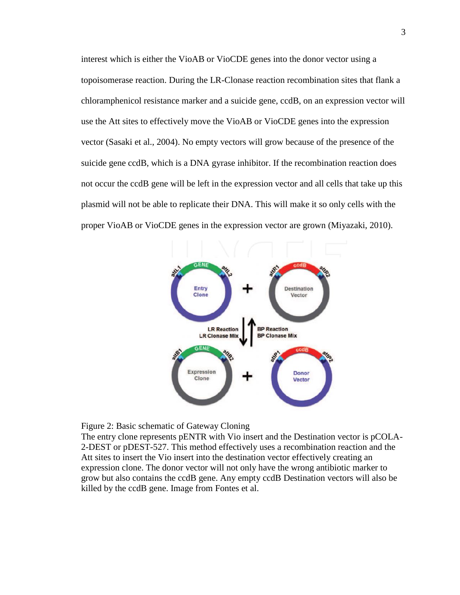interest which is either the VioAB or VioCDE genes into the donor vector using a topoisomerase reaction. During the LR-Clonase reaction recombination sites that flank a chloramphenicol resistance marker and a suicide gene, ccdB, on an expression vector will use the Att sites to effectively move the VioAB or VioCDE genes into the expression vector (Sasaki et al., 2004). No empty vectors will grow because of the presence of the suicide gene ccdB, which is a DNA gyrase inhibitor. If the recombination reaction does not occur the ccdB gene will be left in the expression vector and all cells that take up this plasmid will not be able to replicate their DNA. This will make it so only cells with the proper VioAB or VioCDE genes in the expression vector are grown (Miyazaki, 2010).





The entry clone represents pENTR with Vio insert and the Destination vector is pCOLA-2-DEST or pDEST-527. This method effectively uses a recombination reaction and the Att sites to insert the Vio insert into the destination vector effectively creating an expression clone. The donor vector will not only have the wrong antibiotic marker to grow but also contains the ccdB gene. Any empty ccdB Destination vectors will also be killed by the ccdB gene. Image from Fontes et al.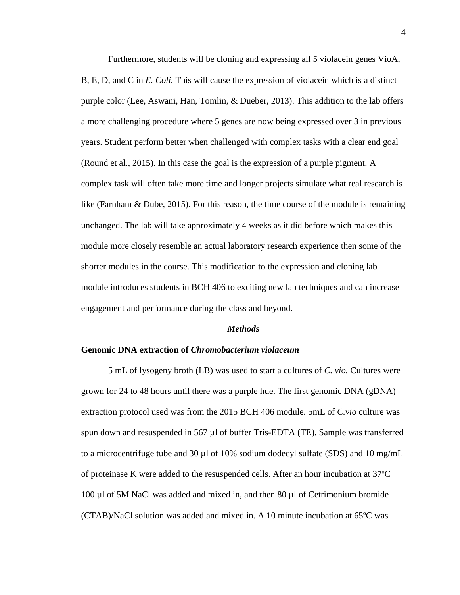Furthermore, students will be cloning and expressing all 5 violacein genes VioA, B, E, D, and C in *E. Coli.* This will cause the expression of violacein which is a distinct purple color (Lee, Aswani, Han, Tomlin, & Dueber, 2013). This addition to the lab offers a more challenging procedure where 5 genes are now being expressed over 3 in previous years. Student perform better when challenged with complex tasks with a clear end goal (Round et al., 2015). In this case the goal is the expression of a purple pigment. A complex task will often take more time and longer projects simulate what real research is like (Farnham & Dube, 2015). For this reason, the time course of the module is remaining unchanged. The lab will take approximately 4 weeks as it did before which makes this module more closely resemble an actual laboratory research experience then some of the shorter modules in the course. This modification to the expression and cloning lab module introduces students in BCH 406 to exciting new lab techniques and can increase engagement and performance during the class and beyond.

#### *Methods*

#### **Genomic DNA extraction of** *Chromobacterium violaceum*

5 mL of lysogeny broth (LB) was used to start a cultures of *C. vio.* Cultures were grown for 24 to 48 hours until there was a purple hue. The first genomic DNA (gDNA) extraction protocol used was from the 2015 BCH 406 module. 5mL of *C.vio* culture was spun down and resuspended in 567 µl of buffer Tris-EDTA (TE). Sample was transferred to a microcentrifuge tube and 30 µl of 10% sodium dodecyl sulfate (SDS) and 10 mg/mL of proteinase K were added to the resuspended cells. After an hour incubation at 37ºC 100 µl of 5M NaCl was added and mixed in, and then 80 µl of Cetrimonium bromide (CTAB)/NaCl solution was added and mixed in. A 10 minute incubation at 65ºC was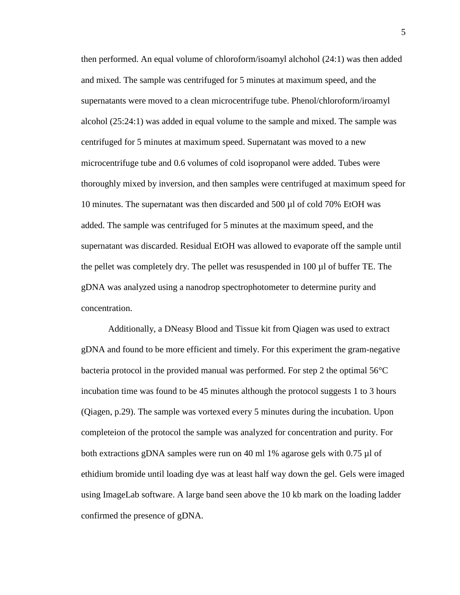then performed. An equal volume of chloroform/isoamyl alchohol (24:1) was then added and mixed. The sample was centrifuged for 5 minutes at maximum speed, and the supernatants were moved to a clean microcentrifuge tube. Phenol/chloroform/iroamyl alcohol (25:24:1) was added in equal volume to the sample and mixed. The sample was centrifuged for 5 minutes at maximum speed. Supernatant was moved to a new microcentrifuge tube and 0.6 volumes of cold isopropanol were added. Tubes were thoroughly mixed by inversion, and then samples were centrifuged at maximum speed for 10 minutes. The supernatant was then discarded and 500 µl of cold 70% EtOH was added. The sample was centrifuged for 5 minutes at the maximum speed, and the supernatant was discarded. Residual EtOH was allowed to evaporate off the sample until the pellet was completely dry. The pellet was resuspended in 100 µl of buffer TE. The gDNA was analyzed using a nanodrop spectrophotometer to determine purity and concentration.

Additionally, a DNeasy Blood and Tissue kit from Qiagen was used to extract gDNA and found to be more efficient and timely. For this experiment the gram-negative bacteria protocol in the provided manual was performed. For step 2 the optimal 56°C incubation time was found to be 45 minutes although the protocol suggests 1 to 3 hours (Qiagen, p.29). The sample was vortexed every 5 minutes during the incubation. Upon completeion of the protocol the sample was analyzed for concentration and purity. For both extractions gDNA samples were run on 40 ml 1% agarose gels with 0.75 µl of ethidium bromide until loading dye was at least half way down the gel. Gels were imaged using ImageLab software. A large band seen above the 10 kb mark on the loading ladder confirmed the presence of gDNA.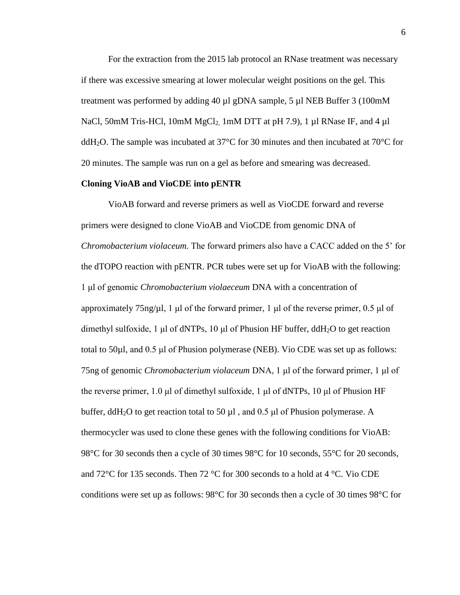For the extraction from the 2015 lab protocol an RNase treatment was necessary if there was excessive smearing at lower molecular weight positions on the gel. This treatment was performed by adding 40 µl gDNA sample, 5 µl NEB Buffer 3 (100mM NaCl, 50mM Tris-HCl,  $10$ mM MgCl<sub>2</sub>,  $1$ mM DTT at pH 7.9), 1  $\mu$ l RNase IF, and 4  $\mu$ l ddH<sub>2</sub>O. The sample was incubated at 37<sup>o</sup>C for 30 minutes and then incubated at 70<sup>o</sup>C for 20 minutes. The sample was run on a gel as before and smearing was decreased.

#### **Cloning VioAB and VioCDE into pENTR**

VioAB forward and reverse primers as well as VioCDE forward and reverse primers were designed to clone VioAB and VioCDE from genomic DNA of *Chromobacterium violaceum.* The forward primers also have a CACC added on the 5' for the dTOPO reaction with pENTR. PCR tubes were set up for VioAB with the following: 1 μl of genomic *Chromobacterium violaeceum* DNA with a concentration of approximately 75ng/µl, 1 μl of the forward primer, 1 μl of the reverse primer, 0.5 μl of dimethyl sulfoxide, 1 μl of dNTPs, 10 μl of Phusion HF buffer, ddH<sub>2</sub>O to get reaction total to 50µl, and 0.5 μl of Phusion polymerase (NEB). Vio CDE was set up as follows: 75ng of genomic *Chromobacterium violaceum* DNA, 1 μl of the forward primer, 1 μl of the reverse primer, 1.0 μl of dimethyl sulfoxide, 1 μl of dNTPs, 10 μl of Phusion HF buffer, ddH<sub>2</sub>O to get reaction total to 50  $\mu$ l, and 0.5  $\mu$ l of Phusion polymerase. A thermocycler was used to clone these genes with the following conditions for VioAB: 98°C for 30 seconds then a cycle of 30 times 98°C for 10 seconds, 55°C for 20 seconds, and 72°C for 135 seconds. Then 72 °C for 300 seconds to a hold at 4 °C. Vio CDE conditions were set up as follows: 98°C for 30 seconds then a cycle of 30 times 98°C for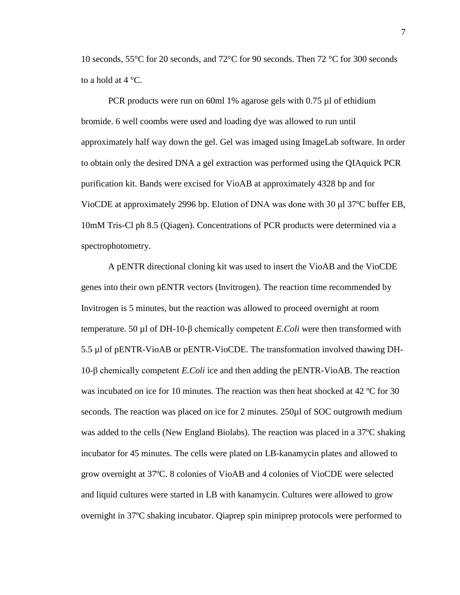10 seconds, 55°C for 20 seconds, and 72°C for 90 seconds. Then 72 °C for 300 seconds to a hold at  $4^{\circ}$ C.

PCR products were run on 60ml 1% agarose gels with 0.75 µl of ethidium bromide. 6 well coombs were used and loading dye was allowed to run until approximately half way down the gel. Gel was imaged using ImageLab software. In order to obtain only the desired DNA a gel extraction was performed using the QIAquick PCR purification kit. Bands were excised for VioAB at approximately 4328 bp and for VioCDE at approximately 2996 bp. Elution of DNA was done with 30 μl 37ºC buffer EB, 10mM Tris-Cl ph 8.5 (Qiagen). Concentrations of PCR products were determined via a spectrophotometry.

A pENTR directional cloning kit was used to insert the VioAB and the VioCDE genes into their own pENTR vectors (Invitrogen). The reaction time recommended by Invitrogen is 5 minutes, but the reaction was allowed to proceed overnight at room temperature. 50 µl of DH-10-β chemically competent *E.Coli* were then transformed with 5.5 µl of pENTR-VioAB or pENTR-VioCDE. The transformation involved thawing DH-10-β chemically competent *E.Coli* ice and then adding the pENTR-VioAB. The reaction was incubated on ice for 10 minutes. The reaction was then heat shocked at 42 °C for 30 seconds. The reaction was placed on ice for 2 minutes. 250µl of SOC outgrowth medium was added to the cells (New England Biolabs). The reaction was placed in a 37ºC shaking incubator for 45 minutes. The cells were plated on LB-kanamycin plates and allowed to grow overnight at 37ºC. 8 colonies of VioAB and 4 colonies of VioCDE were selected and liquid cultures were started in LB with kanamycin. Cultures were allowed to grow overnight in 37ºC shaking incubator. Qiaprep spin miniprep protocols were performed to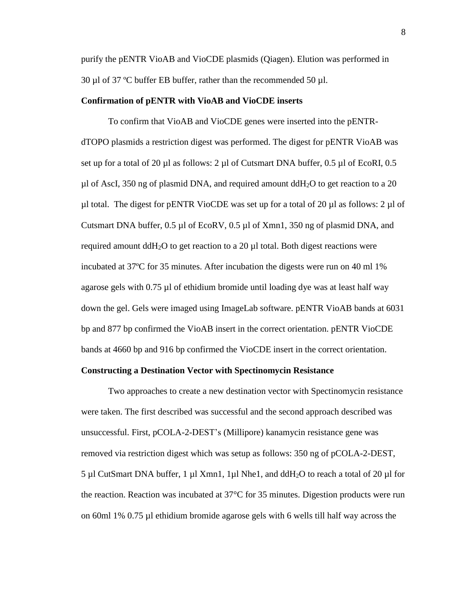purify the pENTR VioAB and VioCDE plasmids (Qiagen). Elution was performed in 30 µl of 37 ºC buffer EB buffer, rather than the recommended 50 µl.

### **Confirmation of pENTR with VioAB and VioCDE inserts**

To confirm that VioAB and VioCDE genes were inserted into the pENTRdTOPO plasmids a restriction digest was performed. The digest for pENTR VioAB was set up for a total of 20 µl as follows: 2 µl of Cutsmart DNA buffer, 0.5 µl of EcoRI, 0.5  $\mu$ l of AscI, 350 ng of plasmid DNA, and required amount ddH<sub>2</sub>O to get reaction to a 20 µl total. The digest for pENTR VioCDE was set up for a total of 20 µl as follows: 2 µl of Cutsmart DNA buffer,  $0.5 \mu$ l of EcoRV,  $0.5 \mu$ l of Xmn1, 350 ng of plasmid DNA, and required amount  $ddH<sub>2</sub>O$  to get reaction to a 20 µl total. Both digest reactions were incubated at 37ºC for 35 minutes. After incubation the digests were run on 40 ml 1% agarose gels with 0.75 µl of ethidium bromide until loading dye was at least half way down the gel. Gels were imaged using ImageLab software. pENTR VioAB bands at 6031 bp and 877 bp confirmed the VioAB insert in the correct orientation. pENTR VioCDE bands at 4660 bp and 916 bp confirmed the VioCDE insert in the correct orientation.

## **Constructing a Destination Vector with Spectinomycin Resistance**

Two approaches to create a new destination vector with Spectinomycin resistance were taken. The first described was successful and the second approach described was unsuccessful. First, pCOLA-2-DEST's (Millipore) kanamycin resistance gene was removed via restriction digest which was setup as follows: 350 ng of pCOLA-2-DEST, 5 µl CutSmart DNA buffer, 1 µl Xmn1, 1µl Nhe1, and ddH<sub>2</sub>O to reach a total of 20 µl for the reaction. Reaction was incubated at 37°C for 35 minutes. Digestion products were run on 60ml 1% 0.75 µl ethidium bromide agarose gels with 6 wells till half way across the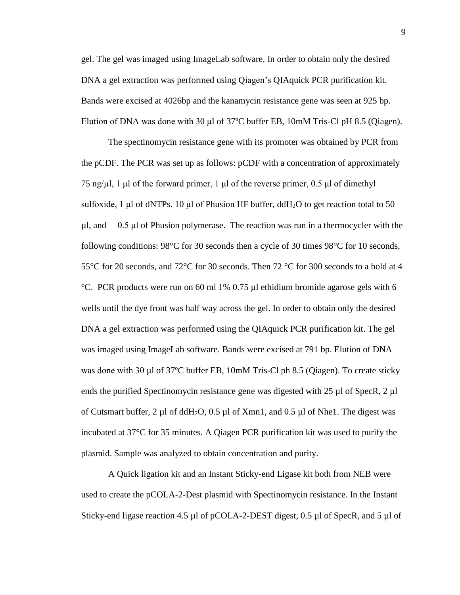gel. The gel was imaged using ImageLab software. In order to obtain only the desired DNA a gel extraction was performed using Qiagen's QIAquick PCR purification kit. Bands were excised at 4026bp and the kanamycin resistance gene was seen at 925 bp. Elution of DNA was done with 30  $\mu$ l of 37°C buffer EB, 10mM Tris-Cl pH 8.5 (Qiagen).

The spectinomycin resistance gene with its promoter was obtained by PCR from the pCDF. The PCR was set up as follows: pCDF with a concentration of approximately 75 ng/μl, 1 μl of the forward primer, 1 μl of the reverse primer,  $0.5$  μl of dimethyl sulfoxide, 1 μl of dNTPs, 10 μl of Phusion HF buffer, ddH<sub>2</sub>O to get reaction total to 50 µl, and 0.5 μl of Phusion polymerase. The reaction was run in a thermocycler with the following conditions: 98°C for 30 seconds then a cycle of 30 times 98°C for 10 seconds, 55°C for 20 seconds, and 72°C for 30 seconds. Then 72 °C for 300 seconds to a hold at 4 °C. PCR products were run on 60 ml 1% 0.75 µl ethidium bromide agarose gels with 6 wells until the dye front was half way across the gel. In order to obtain only the desired DNA a gel extraction was performed using the QIAquick PCR purification kit. The gel was imaged using ImageLab software. Bands were excised at 791 bp. Elution of DNA was done with 30 μl of 37ºC buffer EB, 10mM Tris-Cl ph 8.5 (Qiagen). To create sticky ends the purified Spectinomycin resistance gene was digested with  $25 \mu$ l of SpecR,  $2 \mu$ l of Cutsmart buffer, 2  $\mu$ l of ddH<sub>2</sub>O, 0.5  $\mu$ l of Xmn1, and 0.5  $\mu$ l of Nhe1. The digest was incubated at 37°C for 35 minutes. A Qiagen PCR purification kit was used to purify the plasmid. Sample was analyzed to obtain concentration and purity.

A Quick ligation kit and an Instant Sticky-end Ligase kit both from NEB were used to create the pCOLA-2-Dest plasmid with Spectinomycin resistance. In the Instant Sticky-end ligase reaction 4.5 µl of pCOLA-2-DEST digest, 0.5 µl of SpecR, and 5 µl of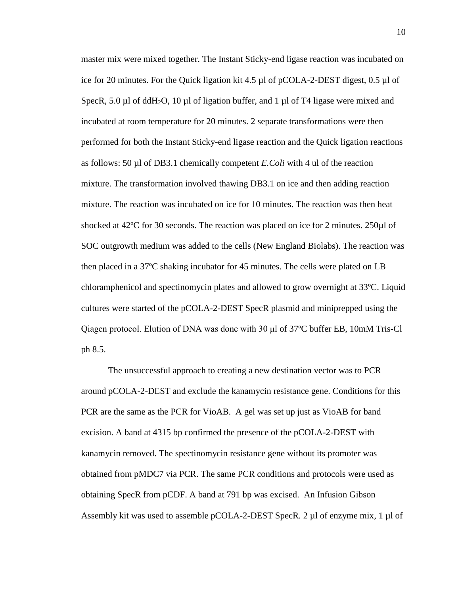master mix were mixed together. The Instant Sticky-end ligase reaction was incubated on ice for 20 minutes. For the Quick ligation kit 4.5 µl of pCOLA-2-DEST digest, 0.5 µl of SpecR, 5.0 µl of ddH<sub>2</sub>O, 10 µl of ligation buffer, and 1 µl of T4 ligase were mixed and incubated at room temperature for 20 minutes. 2 separate transformations were then performed for both the Instant Sticky-end ligase reaction and the Quick ligation reactions as follows: 50 µl of DB3.1 chemically competent *E.Coli* with 4 ul of the reaction mixture. The transformation involved thawing DB3.1 on ice and then adding reaction mixture. The reaction was incubated on ice for 10 minutes. The reaction was then heat shocked at 42<sup>o</sup>C for 30 seconds. The reaction was placed on ice for 2 minutes. 250µl of SOC outgrowth medium was added to the cells (New England Biolabs). The reaction was then placed in a 37ºC shaking incubator for 45 minutes. The cells were plated on LB chloramphenicol and spectinomycin plates and allowed to grow overnight at 33ºC. Liquid cultures were started of the pCOLA-2-DEST SpecR plasmid and miniprepped using the Qiagen protocol. Elution of DNA was done with 30 μl of 37ºC buffer EB, 10mM Tris-Cl ph 8.5.

The unsuccessful approach to creating a new destination vector was to PCR around pCOLA-2-DEST and exclude the kanamycin resistance gene. Conditions for this PCR are the same as the PCR for VioAB. A gel was set up just as VioAB for band excision. A band at 4315 bp confirmed the presence of the pCOLA-2-DEST with kanamycin removed. The spectinomycin resistance gene without its promoter was obtained from pMDC7 via PCR. The same PCR conditions and protocols were used as obtaining SpecR from pCDF. A band at 791 bp was excised. An Infusion Gibson Assembly kit was used to assemble pCOLA-2-DEST SpecR. 2 µl of enzyme mix, 1 µl of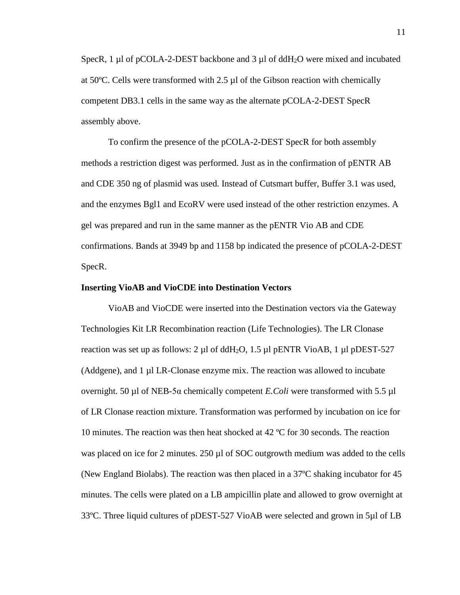SpecR, 1 µl of pCOLA-2-DEST backbone and 3 µl of ddH<sub>2</sub>O were mixed and incubated at 50ºC. Cells were transformed with 2.5 µl of the Gibson reaction with chemically competent DB3.1 cells in the same way as the alternate pCOLA-2-DEST SpecR assembly above.

To confirm the presence of the pCOLA-2-DEST SpecR for both assembly methods a restriction digest was performed. Just as in the confirmation of pENTR AB and CDE 350 ng of plasmid was used. Instead of Cutsmart buffer, Buffer 3.1 was used, and the enzymes Bgl1 and EcoRV were used instead of the other restriction enzymes. A gel was prepared and run in the same manner as the pENTR Vio AB and CDE confirmations. Bands at 3949 bp and 1158 bp indicated the presence of pCOLA-2-DEST SpecR.

#### **Inserting VioAB and VioCDE into Destination Vectors**

VioAB and VioCDE were inserted into the Destination vectors via the Gateway Technologies Kit LR Recombination reaction (Life Technologies). The LR Clonase reaction was set up as follows: 2  $\mu$ l of ddH<sub>2</sub>O, 1.5  $\mu$ l pENTR VioAB, 1  $\mu$ l pDEST-527 (Addgene), and 1 µl LR-Clonase enzyme mix. The reaction was allowed to incubate overnight. 50 µl of NEB-5α chemically competent *E.Coli* were transformed with 5.5 µl of LR Clonase reaction mixture. Transformation was performed by incubation on ice for 10 minutes. The reaction was then heat shocked at 42 ºC for 30 seconds. The reaction was placed on ice for 2 minutes. 250 µl of SOC outgrowth medium was added to the cells (New England Biolabs). The reaction was then placed in a 37ºC shaking incubator for 45 minutes. The cells were plated on a LB ampicillin plate and allowed to grow overnight at 33ºC. Three liquid cultures of pDEST-527 VioAB were selected and grown in 5µl of LB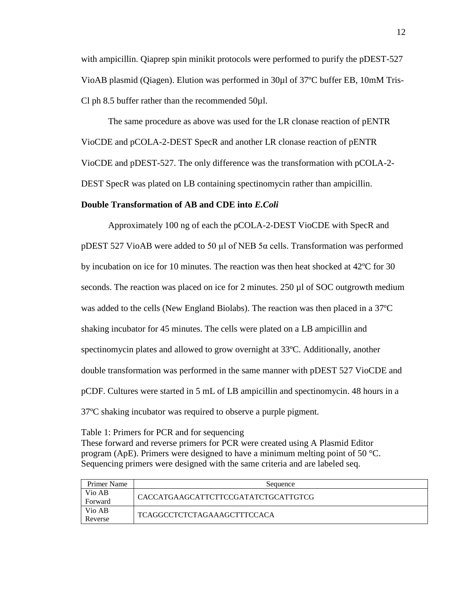with ampicillin. Qiaprep spin minikit protocols were performed to purify the pDEST-527 VioAB plasmid (Qiagen). Elution was performed in 30µl of 37ºC buffer EB, 10mM Tris-Cl ph 8.5 buffer rather than the recommended  $50\mu$ l.

The same procedure as above was used for the LR clonase reaction of pENTR VioCDE and pCOLA-2-DEST SpecR and another LR clonase reaction of pENTR VioCDE and pDEST-527. The only difference was the transformation with pCOLA-2- DEST SpecR was plated on LB containing spectinomycin rather than ampicillin.

### **Double Transformation of AB and CDE into** *E.Coli*

Approximately 100 ng of each the pCOLA-2-DEST VioCDE with SpecR and pDEST 527 VioAB were added to 50 µl of NEB 5α cells. Transformation was performed by incubation on ice for 10 minutes. The reaction was then heat shocked at 42ºC for 30 seconds. The reaction was placed on ice for 2 minutes. 250 µl of SOC outgrowth medium was added to the cells (New England Biolabs). The reaction was then placed in a 37ºC shaking incubator for 45 minutes. The cells were plated on a LB ampicillin and spectinomycin plates and allowed to grow overnight at 33ºC. Additionally, another double transformation was performed in the same manner with pDEST 527 VioCDE and pCDF. Cultures were started in 5 mL of LB ampicillin and spectinomycin. 48 hours in a 37ºC shaking incubator was required to observe a purple pigment.

Table 1: Primers for PCR and for sequencing These forward and reverse primers for PCR were created using A Plasmid Editor program (ApE). Primers were designed to have a minimum melting point of 50  $^{\circ}$ C. Sequencing primers were designed with the same criteria and are labeled seq.

| Primer Name | Sequence                            |
|-------------|-------------------------------------|
| Vio AB      | CACCATGAAGCATTCTTCCGATATCTGCATTGTCG |
| Forward     |                                     |
| Vio AB      | - TCAGGCCTCTCTAGAAAGCTTTCCACA       |
| Reverse     |                                     |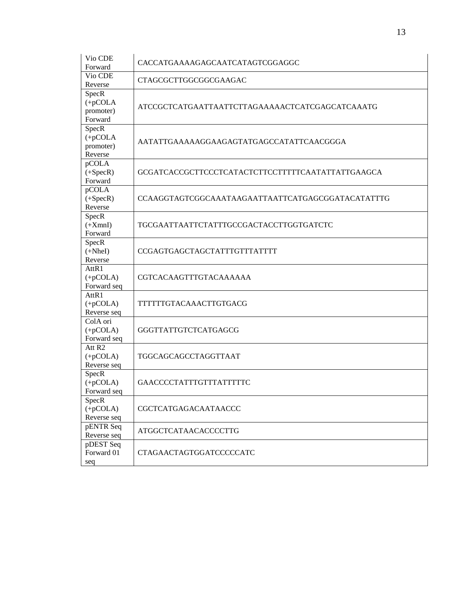| Vio CDE<br>Forward                              | CACCATGAAAAGAGCAATCATAGTCGGAGGC                   |
|-------------------------------------------------|---------------------------------------------------|
| Vio CDE<br>Reverse                              | CTAGCGCTTGGCGGCGAAGAC                             |
| SpecR<br>$(+pCOLA)$<br>promoter)<br>Forward     | ATCCGCTCATGAATTAATTCTTAGAAAAACTCATCGAGCATCAAATG   |
| SpecR<br>$(+pCOLA)$<br>promoter)<br>Reverse     | AATATTGAAAAAGGAAGAGTATGAGCCATATTCAACGGGA          |
| pCOLA<br>$(+Spec R)$<br>Forward                 | GCGATCACCGCTTCCCTCATACTCTTCCTTTTTCAATATTATTGAAGCA |
| pCOLA<br>$(+Spec R)$<br>Reverse                 | CCAAGGTAGTCGGCAAATAAGAATTAATTCATGAGCGGATACATATTTG |
| SpecR<br>$(+XmnI)$<br>Forward                   | TGCGAATTAATTCTATTTGCCGACTACCTTGGTGATCTC           |
| SpecR<br>$(+Nhel)$<br>Reverse                   | CCGAGTGAGCTAGCTATTTGTTTATTT                       |
| AttR1<br>$(+pCOLA)$<br>Forward seq              | <b>CGTCACAAGTTTGTACAAAAAA</b>                     |
| AttR1<br>$(+pCOLA)$<br>Reverse seq              | TTTTTTGTACAAACTTGTGACG                            |
| ColA ori<br>$(+pCOLA)$<br>Forward seq           | GGGTTATTGTCTCATGAGCG                              |
| Att R <sub>2</sub><br>$(+pCOLA)$<br>Reverse seq | TGGCAGCAGCCTAGGTTAAT                              |
| SpecR<br>$(+pCOLA)$<br>Forward seq              | GAACCCCTATTTGTTTATTTTC                            |
| SpecR<br>$(+pCOLA)$<br>Reverse seq              | CGCTCATGAGACAATAACCC                              |
| pENTR Seq<br>Reverse seq                        | ATGGCTCATAACACCCCTTG                              |
| pDEST Seq<br>Forward 01<br>seq                  | CTAGAACTAGTGGATCCCCCATC                           |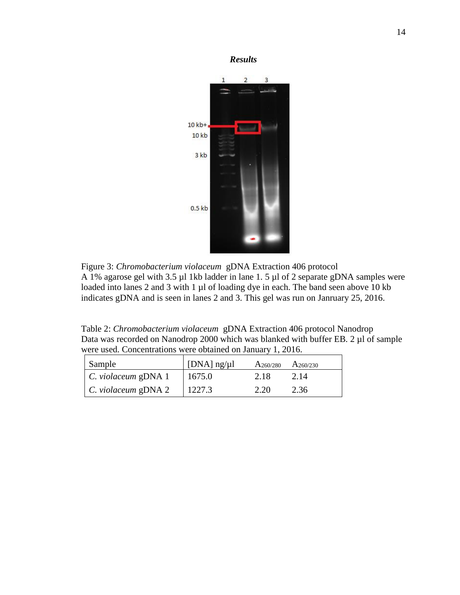

Figure 3: *Chromobacterium violaceum* gDNA Extraction 406 protocol A 1% agarose gel with 3.5 µl 1kb ladder in lane 1. 5 µl of 2 separate gDNA samples were loaded into lanes 2 and 3 with 1 µl of loading dye in each. The band seen above 10 kb indicates gDNA and is seen in lanes 2 and 3. This gel was run on Janruary 25, 2016.

Table 2: *Chromobacterium violaceum* gDNA Extraction 406 protocol Nanodrop Data was recorded on Nanodrop 2000 which was blanked with buffer EB. 2 µl of sample were used. Concentrations were obtained on January 1, 2016.

| Sample                     | $\vert$ [DNA] ng/µl | $A_{260/280}$ | $A_{260/230}$ |
|----------------------------|---------------------|---------------|---------------|
| $\mid$ C. violaceum gDNA 1 | 1675.0              | 2.18          | 2.14          |
| $\mid$ C. violaceum gDNA 2 | 1227.3              | 2.20          | 2.36          |

*Results*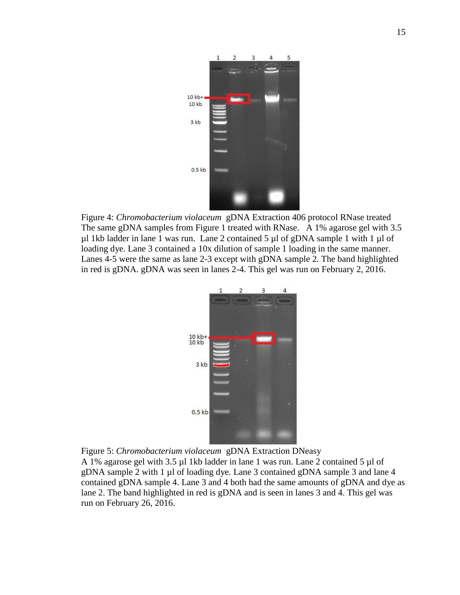

Figure 4: *Chromobacterium violaceum* gDNA Extraction 406 protocol RNase treated The same gDNA samples from Figure 1 treated with RNase. A 1% agarose gel with 3.5  $\mu$ l 1kb ladder in lane 1 was run. Lane 2 contained 5  $\mu$ l of gDNA sample 1 with 1  $\mu$ l of loading dye. Lane 3 contained a 10x dilution of sample 1 loading in the same manner. Lanes 4-5 were the same as lane 2-3 except with gDNA sample 2. The band highlighted in red is gDNA. gDNA was seen in lanes 2-4. This gel was run on February 2, 2016.



Figure 5: *Chromobacterium violaceum* gDNA Extraction DNeasy

A 1% agarose gel with 3.5 µl 1kb ladder in lane 1 was run. Lane 2 contained 5 µl of gDNA sample 2 with 1 µl of loading dye. Lane 3 contained gDNA sample 3 and lane 4 contained gDNA sample 4. Lane 3 and 4 both had the same amounts of gDNA and dye as lane 2. The band highlighted in red is gDNA and is seen in lanes 3 and 4. This gel was run on February 26, 2016.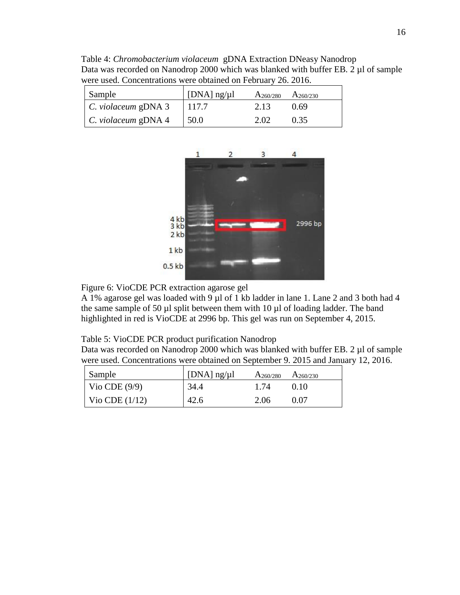Table 4: *Chromobacterium violaceum* gDNA Extraction DNeasy Nanodrop Data was recorded on Nanodrop 2000 which was blanked with buffer EB. 2 µl of sample were used. Concentrations were obtained on February 26. 2016.

| Sample                     | [DNA] $\frac{ng}{\mu}$ | $A_{260/280}$ $A_{260/230}$ |      |
|----------------------------|------------------------|-----------------------------|------|
| $\mid$ C. violaceum gDNA 3 | 117.7                  | 2.13                        | 0.69 |
| $\mid$ C. violaceum gDNA 4 | 50.0                   | 2.02                        | 0.35 |



Figure 6: VioCDE PCR extraction agarose gel

A 1% agarose gel was loaded with 9 µl of 1 kb ladder in lane 1. Lane 2 and 3 both had 4 the same sample of 50  $\mu$ l split between them with 10  $\mu$ l of loading ladder. The band highlighted in red is VioCDE at 2996 bp. This gel was run on September 4, 2015.

### Table 5: VioCDE PCR product purification Nanodrop

Data was recorded on Nanodrop 2000 which was blanked with buffer EB. 2 µl of sample were used. Concentrations were obtained on September 9. 2015 and January 12, 2016.

| Sample                              | [DNA] $\frac{ng}{\mu}$ | $A_{260/280}$ $A_{260/230}$ |      |
|-------------------------------------|------------------------|-----------------------------|------|
| $\vert$ Vio CDE (9/9)               | 34.4                   | 1 74                        | 0.10 |
| $\sqrt{\frac{1}{2}}$ Vio CDE (1/12) | 42.6                   | 2.06                        | 0.07 |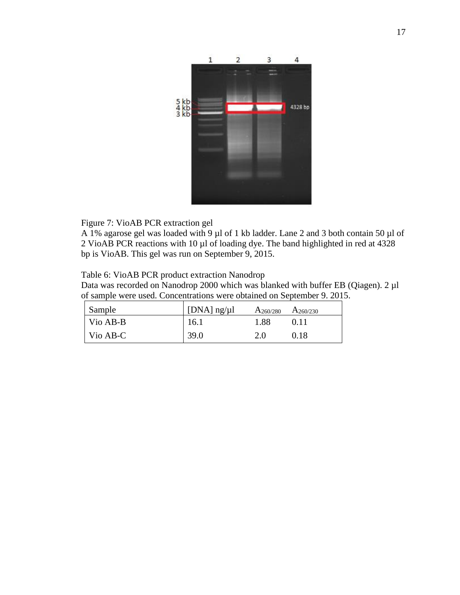

Figure 7: VioAB PCR extraction gel

A 1% agarose gel was loaded with 9 µl of 1 kb ladder. Lane 2 and 3 both contain 50 µl of 2 VioAB PCR reactions with 10 µl of loading dye. The band highlighted in red at 4328 bp is VioAB. This gel was run on September 9, 2015.

Table 6: VioAB PCR product extraction Nanodrop

Data was recorded on Nanodrop 2000 which was blanked with buffer EB (Qiagen). 2 µl of sample were used. Concentrations were obtained on September 9. 2015.

| Sample                            | $\vert$ [DNA] ng/ $\mu$ l | $A_{260/280}$ | $A_{260/230}$ |
|-----------------------------------|---------------------------|---------------|---------------|
| $\overline{\phantom{a}}$ Vio AB-B | 16.1                      | 1.88          | 0.11          |
| $\sqrt{\frac{1}{10}}$ Nio AB-C    | 39.0                      | 2.0           | 0.18          |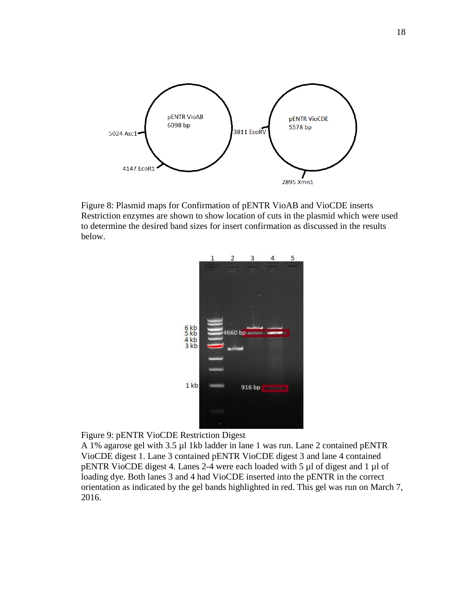

Figure 8: Plasmid maps for Confirmation of pENTR VioAB and VioCDE inserts Restriction enzymes are shown to show location of cuts in the plasmid which were used to determine the desired band sizes for insert confirmation as discussed in the results below.



Figure 9: pENTR VioCDE Restriction Digest

A 1% agarose gel with 3.5 µl 1kb ladder in lane 1 was run. Lane 2 contained pENTR VioCDE digest 1. Lane 3 contained pENTR VioCDE digest 3 and lane 4 contained pENTR VioCDE digest 4. Lanes 2-4 were each loaded with 5 µl of digest and 1 µl of loading dye. Both lanes 3 and 4 had VioCDE inserted into the pENTR in the correct orientation as indicated by the gel bands highlighted in red. This gel was run on March 7, 2016.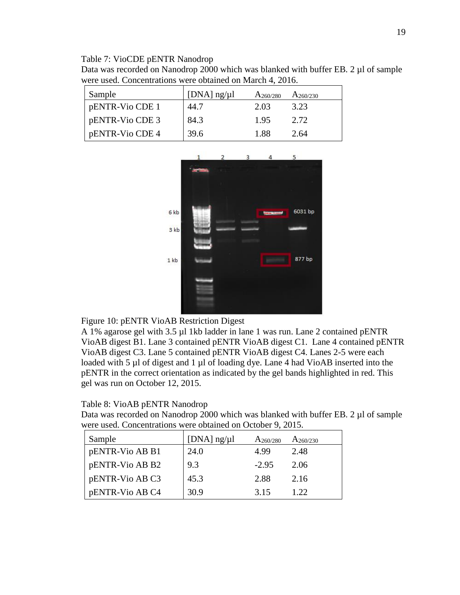### Table 7: VioCDE pENTR Nanodrop

Data was recorded on Nanodrop 2000 which was blanked with buffer EB. 2 µl of sample were used. Concentrations were obtained on March 4, 2016.

| Sample          | [DNA] $ng/µ$ ] | $A_{260/280}$ | $A_{260/230}$ |
|-----------------|----------------|---------------|---------------|
| pENTR-Vio CDE 1 | 44.7           | 2.03          | 3.23          |
| pENTR-Vio CDE 3 | 84.3           | 1.95          | 2.72          |
| pENTR-Vio CDE 4 | 39.6           | 1.88          | 2.64          |



Figure 10: pENTR VioAB Restriction Digest

A 1% agarose gel with 3.5 µl 1kb ladder in lane 1 was run. Lane 2 contained pENTR VioAB digest B1. Lane 3 contained pENTR VioAB digest C1. Lane 4 contained pENTR VioAB digest C3. Lane 5 contained pENTR VioAB digest C4. Lanes 2-5 were each loaded with 5 µl of digest and 1 µl of loading dye. Lane 4 had VioAB inserted into the pENTR in the correct orientation as indicated by the gel bands highlighted in red. This gel was run on October 12, 2015.

# Table 8: VioAB pENTR Nanodrop

Data was recorded on Nanodrop 2000 which was blanked with buffer EB. 2 µl of sample were used. Concentrations were obtained on October 9, 2015.

| Sample          | [ $DNA$ ] $ng/µ$ ] | $A_{260/280}$ | $A_{260/230}$ |
|-----------------|--------------------|---------------|---------------|
| pENTR-Vio AB B1 | 24.0               | 4.99          | 2.48          |
| pENTR-Vio AB B2 | 9.3                | $-2.95$       | 2.06          |
| pENTR-Vio AB C3 | 45.3               | 2.88          | 2.16          |
| pENTR-Vio AB C4 | 30.9               | 3.15          | 1.22          |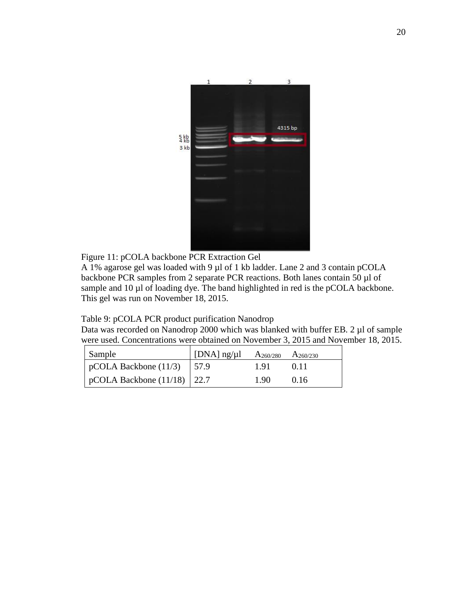

Figure 11: pCOLA backbone PCR Extraction Gel

A 1% agarose gel was loaded with 9 µl of 1 kb ladder. Lane 2 and 3 contain pCOLA backbone PCR samples from 2 separate PCR reactions. Both lanes contain 50 µl of sample and 10 µl of loading dye. The band highlighted in red is the pCOLA backbone. This gel was run on November 18, 2015.

# Table 9: pCOLA PCR product purification Nanodrop

Data was recorded on Nanodrop 2000 which was blanked with buffer EB. 2 µl of sample were used. Concentrations were obtained on November 3, 2015 and November 18, 2015.

| Sample                              | $\vert$ [DNA] ng/µl | $A_{260/280}$ $A_{260/230}$ |      |
|-------------------------------------|---------------------|-----------------------------|------|
| $\vert$ pCOLA Backbone (11/3)       | 157.9               | 1.91                        | 0.11 |
| $\vert$ pCOLA Backbone (11/18) 22.7 |                     | 1.90                        | 0.16 |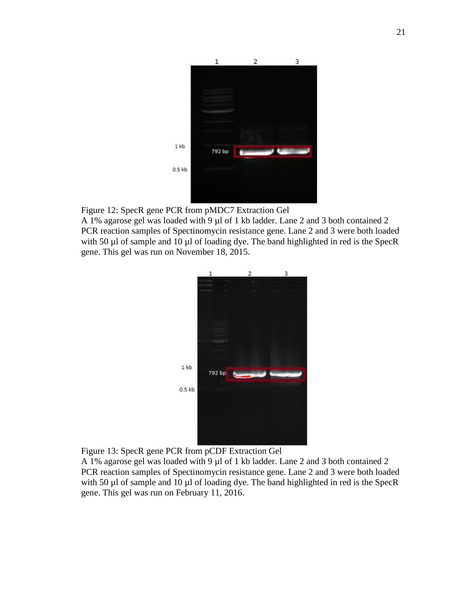

Figure 12: SpecR gene PCR from pMDC7 Extraction Gel

A 1% agarose gel was loaded with 9 µl of 1 kb ladder. Lane 2 and 3 both contained 2 PCR reaction samples of Spectinomycin resistance gene. Lane 2 and 3 were both loaded with 50 µl of sample and 10 µl of loading dye. The band highlighted in red is the SpecR gene. This gel was run on November 18, 2015.



Figure 13: SpecR gene PCR from pCDF Extraction Gel

A 1% agarose gel was loaded with 9 µl of 1 kb ladder. Lane 2 and 3 both contained 2 PCR reaction samples of Spectinomycin resistance gene. Lane 2 and 3 were both loaded with 50 µl of sample and 10 µl of loading dye. The band highlighted in red is the SpecR gene. This gel was run on February 11, 2016.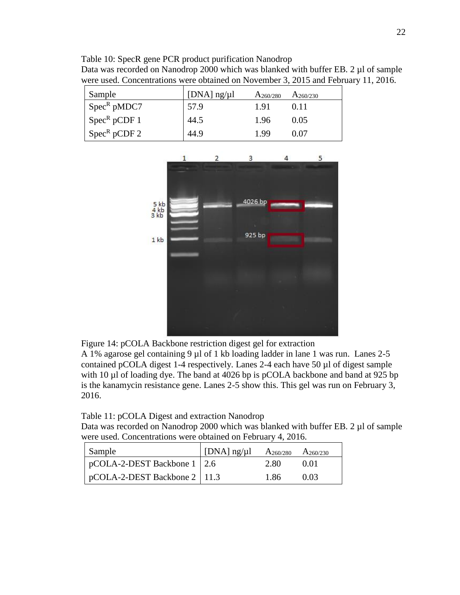| Table 10: SpecR gene PCR product purification Nanodrop                              |
|-------------------------------------------------------------------------------------|
| Data was recorded on Nanodrop 2000 which was blanked with buffer EB, 2 µl of sample |
| were used. Concentrations were obtained on November 3, 2015 and February 11, 2016.  |

| Sample                                     | [DNA] $\frac{ng}{\mu}$ | $A_{260/280}$ | $A_{260/230}$ |
|--------------------------------------------|------------------------|---------------|---------------|
| $\sqrt{Spec^R}$ pMDC7                      | 57.9                   | 1.91          | 0.11          |
| $\sqrt{\text{Spec}^R \text{pCDF} \cdot 1}$ | 44.5                   | 1.96          | 0.05          |
| $Spec^R pCDF 2$                            | 44.9                   | 1.99          | ი ი⁊          |



Figure 14: pCOLA Backbone restriction digest gel for extraction

A 1% agarose gel containing 9 µl of 1 kb loading ladder in lane 1 was run. Lanes 2-5 contained pCOLA digest 1-4 respectively. Lanes 2-4 each have 50 µl of digest sample with 10 µl of loading dye. The band at 4026 bp is pCOLA backbone and band at 925 bp is the kanamycin resistance gene. Lanes 2-5 show this. This gel was run on February 3, 2016.

Table 11: pCOLA Digest and extraction Nanodrop

Data was recorded on Nanodrop 2000 which was blanked with buffer EB. 2 µl of sample were used. Concentrations were obtained on February 4, 2016.

| Sample                                  | [DNA] $ng/\mu$ ] $A_{260/280}$ $A_{260/230}$ |      |      |
|-----------------------------------------|----------------------------------------------|------|------|
| $\vert$ pCOLA-2-DEST Backbone 1   2.6   |                                              | 2.80 | 0.01 |
| $\sqrt{pCOLA-2-DEST}$ Backbone 2   11.3 |                                              | 1.86 | 0.03 |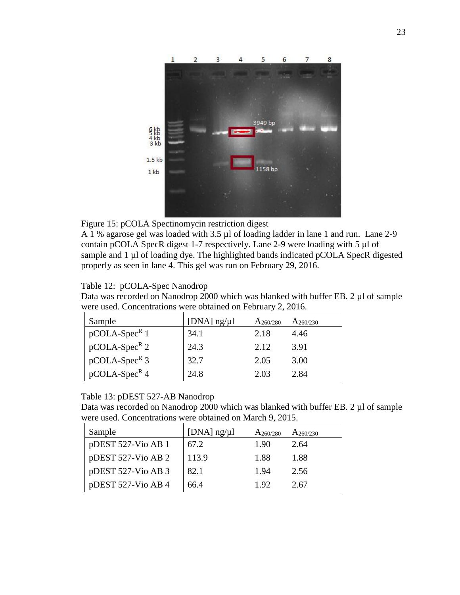

Figure 15: pCOLA Spectinomycin restriction digest

A 1 % agarose gel was loaded with 3.5 µl of loading ladder in lane 1 and run. Lane 2-9 contain pCOLA SpecR digest 1-7 respectively. Lane 2-9 were loading with 5 µl of sample and 1 µl of loading dye. The highlighted bands indicated pCOLA SpecR digested properly as seen in lane 4. This gel was run on February 29, 2016.

# Table 12: pCOLA-Spec Nanodrop

Data was recorded on Nanodrop 2000 which was blanked with buffer EB. 2 µl of sample were used. Concentrations were obtained on February 2, 2016.

| Sample          | [ $DNA$ ] $ng/µ$ ] | $A_{260/280}$ | $A_{260/230}$ |
|-----------------|--------------------|---------------|---------------|
| $pCOLA-SpecR 1$ | 34.1               | 2.18          | 4.46          |
| $pCOLA-SpecR 2$ | 24.3               | 2.12          | 3.91          |
| $pCOLA-SpecR$ 3 | 32.7               | 2.05          | 3.00          |
| $pCOLA-SpecR4$  | 24.8               | 2.03          | 2.84          |

# Table 13: pDEST 527-AB Nanodrop

Data was recorded on Nanodrop 2000 which was blanked with buffer EB. 2 µl of sample were used. Concentrations were obtained on March 9, 2015.

| Sample             | [DNA] $ng/µl$ | $A_{260/280}$ | $A_{260/230}$ |
|--------------------|---------------|---------------|---------------|
| pDEST 527-Vio AB 1 | 67.2          | 1.90          | 2.64          |
| pDEST 527-Vio AB 2 | 113.9         | 1.88          | 1.88          |
| pDEST 527-Vio AB 3 | 82.1          | 1.94          | 2.56          |
| pDEST 527-Vio AB 4 | 66.4          | 1.92          | 2.67          |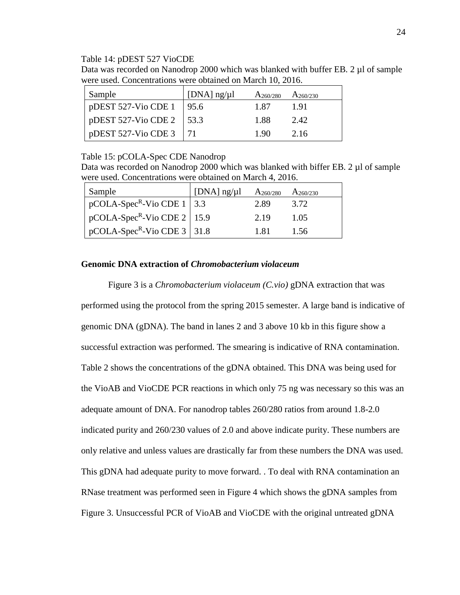#### Table 14: pDEST 527 VioCDE

Data was recorded on Nanodrop 2000 which was blanked with buffer EB. 2 µl of sample were used. Concentrations were obtained on March 10, 2016.

| Sample                        | [DNA] $\frac{ng}{\mu}$ | $A_{260/280}$ | $A_{260/230}$ |
|-------------------------------|------------------------|---------------|---------------|
| $p$ DEST 527-Vio CDE 1        | 195.6                  | 1.87          | 191           |
| pDEST 527-Vio CDE 2   53.3    |                        | 1.88          | 2.42          |
| pDEST 527-Vio CDE $3 \mid 71$ |                        | 1 90          | 2.16          |

## Table 15: pCOLA-Spec CDE Nanodrop

Data was recorded on Nanodrop 2000 which was blanked with biffer EB, 2 µl of sample were used. Concentrations were obtained on March 4, 2016.

| Sample                                           | [DNA] $\frac{1}{2}$ [DNA] $\frac{1}{2}$ | $A_{260/280}$ | $A_{260/230}$ |
|--------------------------------------------------|-----------------------------------------|---------------|---------------|
| $\vert$ pCOLA-Spec <sup>R</sup> -Vio CDE 1   3.3 |                                         | 2.89          | 3.72          |
| $\sqrt{pCOLA-Spec^{R}-Vio CDE 2}$ 15.9           |                                         | 2.19          | 1.05          |
| pCOLA-Spec <sup>R</sup> -Vio CDE 3 31.8          |                                         | 1.81          | 1.56          |

## **Genomic DNA extraction of** *Chromobacterium violaceum*

Figure 3 is a *Chromobacterium violaceum (C.vio)* gDNA extraction that was performed using the protocol from the spring 2015 semester. A large band is indicative of genomic DNA (gDNA). The band in lanes 2 and 3 above 10 kb in this figure show a successful extraction was performed. The smearing is indicative of RNA contamination. Table 2 shows the concentrations of the gDNA obtained. This DNA was being used for the VioAB and VioCDE PCR reactions in which only 75 ng was necessary so this was an adequate amount of DNA. For nanodrop tables 260/280 ratios from around 1.8-2.0 indicated purity and 260/230 values of 2.0 and above indicate purity. These numbers are only relative and unless values are drastically far from these numbers the DNA was used. This gDNA had adequate purity to move forward. . To deal with RNA contamination an RNase treatment was performed seen in Figure 4 which shows the gDNA samples from Figure 3. Unsuccessful PCR of VioAB and VioCDE with the original untreated gDNA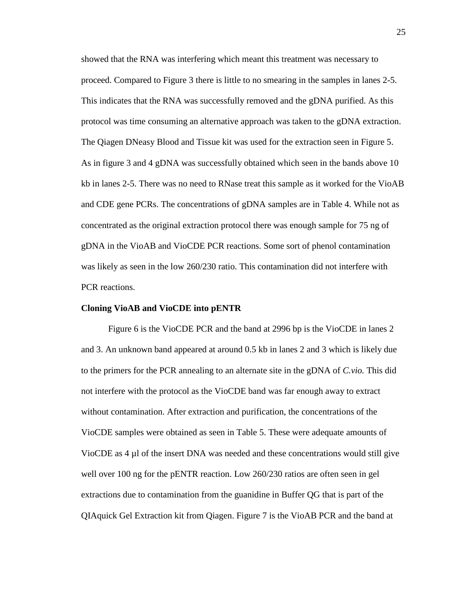showed that the RNA was interfering which meant this treatment was necessary to proceed. Compared to Figure 3 there is little to no smearing in the samples in lanes 2-5. This indicates that the RNA was successfully removed and the gDNA purified. As this protocol was time consuming an alternative approach was taken to the gDNA extraction. The Qiagen DNeasy Blood and Tissue kit was used for the extraction seen in Figure 5. As in figure 3 and 4 gDNA was successfully obtained which seen in the bands above 10 kb in lanes 2-5. There was no need to RNase treat this sample as it worked for the VioAB and CDE gene PCRs. The concentrations of gDNA samples are in Table 4. While not as concentrated as the original extraction protocol there was enough sample for 75 ng of gDNA in the VioAB and VioCDE PCR reactions. Some sort of phenol contamination was likely as seen in the low 260/230 ratio. This contamination did not interfere with PCR reactions.

#### **Cloning VioAB and VioCDE into pENTR**

Figure 6 is the VioCDE PCR and the band at 2996 bp is the VioCDE in lanes 2 and 3. An unknown band appeared at around 0.5 kb in lanes 2 and 3 which is likely due to the primers for the PCR annealing to an alternate site in the gDNA of *C.vio.* This did not interfere with the protocol as the VioCDE band was far enough away to extract without contamination. After extraction and purification, the concentrations of the VioCDE samples were obtained as seen in Table 5. These were adequate amounts of VioCDE as  $4 \mu l$  of the insert DNA was needed and these concentrations would still give well over 100 ng for the pENTR reaction. Low 260/230 ratios are often seen in gel extractions due to contamination from the guanidine in Buffer QG that is part of the QIAquick Gel Extraction kit from Qiagen. Figure 7 is the VioAB PCR and the band at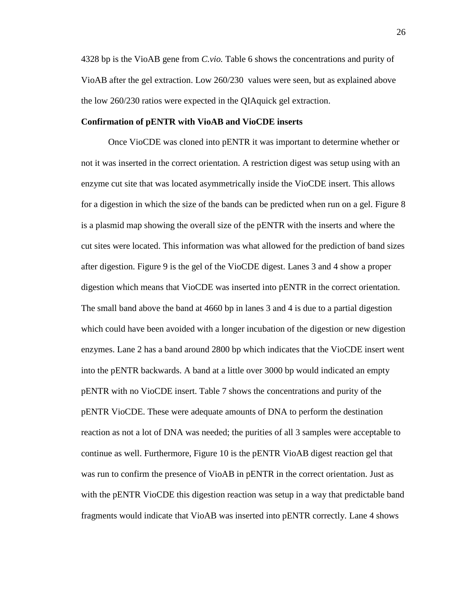4328 bp is the VioAB gene from *C.vio.* Table 6 shows the concentrations and purity of VioAB after the gel extraction. Low 260/230 values were seen, but as explained above the low 260/230 ratios were expected in the QIAquick gel extraction.

### **Confirmation of pENTR with VioAB and VioCDE inserts**

Once VioCDE was cloned into pENTR it was important to determine whether or not it was inserted in the correct orientation. A restriction digest was setup using with an enzyme cut site that was located asymmetrically inside the VioCDE insert. This allows for a digestion in which the size of the bands can be predicted when run on a gel. Figure 8 is a plasmid map showing the overall size of the pENTR with the inserts and where the cut sites were located. This information was what allowed for the prediction of band sizes after digestion. Figure 9 is the gel of the VioCDE digest. Lanes 3 and 4 show a proper digestion which means that VioCDE was inserted into pENTR in the correct orientation. The small band above the band at 4660 bp in lanes 3 and 4 is due to a partial digestion which could have been avoided with a longer incubation of the digestion or new digestion enzymes. Lane 2 has a band around 2800 bp which indicates that the VioCDE insert went into the pENTR backwards. A band at a little over 3000 bp would indicated an empty pENTR with no VioCDE insert. Table 7 shows the concentrations and purity of the pENTR VioCDE. These were adequate amounts of DNA to perform the destination reaction as not a lot of DNA was needed; the purities of all 3 samples were acceptable to continue as well. Furthermore, Figure 10 is the pENTR VioAB digest reaction gel that was run to confirm the presence of VioAB in pENTR in the correct orientation. Just as with the pENTR VioCDE this digestion reaction was setup in a way that predictable band fragments would indicate that VioAB was inserted into pENTR correctly. Lane 4 shows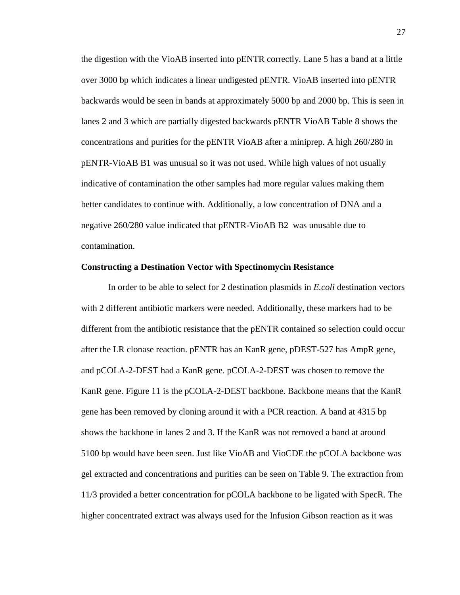the digestion with the VioAB inserted into pENTR correctly. Lane 5 has a band at a little over 3000 bp which indicates a linear undigested pENTR. VioAB inserted into pENTR backwards would be seen in bands at approximately 5000 bp and 2000 bp. This is seen in lanes 2 and 3 which are partially digested backwards pENTR VioAB Table 8 shows the concentrations and purities for the pENTR VioAB after a miniprep. A high 260/280 in pENTR-VioAB B1 was unusual so it was not used. While high values of not usually indicative of contamination the other samples had more regular values making them better candidates to continue with. Additionally, a low concentration of DNA and a negative 260/280 value indicated that pENTR-VioAB B2 was unusable due to contamination.

#### **Constructing a Destination Vector with Spectinomycin Resistance**

In order to be able to select for 2 destination plasmids in *E.coli* destination vectors with 2 different antibiotic markers were needed. Additionally, these markers had to be different from the antibiotic resistance that the pENTR contained so selection could occur after the LR clonase reaction. pENTR has an KanR gene, pDEST-527 has AmpR gene, and pCOLA-2-DEST had a KanR gene. pCOLA-2-DEST was chosen to remove the KanR gene. Figure 11 is the pCOLA-2-DEST backbone. Backbone means that the KanR gene has been removed by cloning around it with a PCR reaction. A band at 4315 bp shows the backbone in lanes 2 and 3. If the KanR was not removed a band at around 5100 bp would have been seen. Just like VioAB and VioCDE the pCOLA backbone was gel extracted and concentrations and purities can be seen on Table 9. The extraction from 11/3 provided a better concentration for pCOLA backbone to be ligated with SpecR. The higher concentrated extract was always used for the Infusion Gibson reaction as it was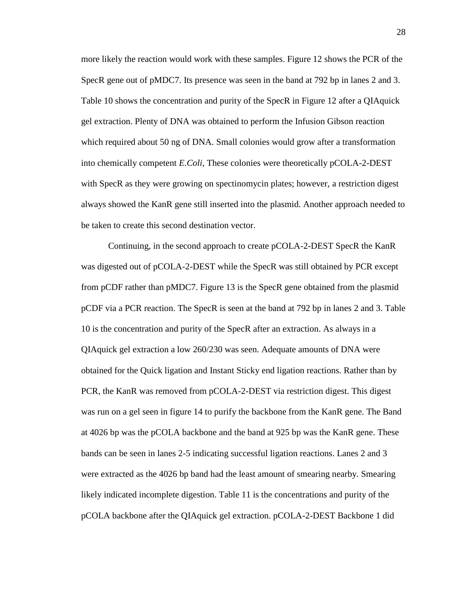more likely the reaction would work with these samples. Figure 12 shows the PCR of the SpecR gene out of pMDC7. Its presence was seen in the band at 792 bp in lanes 2 and 3. Table 10 shows the concentration and purity of the SpecR in Figure 12 after a QIAquick gel extraction. Plenty of DNA was obtained to perform the Infusion Gibson reaction which required about 50 ng of DNA. Small colonies would grow after a transformation into chemically competent *E.Coli,* These colonies were theoretically pCOLA-2-DEST with SpecR as they were growing on spectinomycin plates; however, a restriction digest always showed the KanR gene still inserted into the plasmid. Another approach needed to be taken to create this second destination vector.

Continuing, in the second approach to create pCOLA-2-DEST SpecR the KanR was digested out of pCOLA-2-DEST while the SpecR was still obtained by PCR except from pCDF rather than pMDC7. Figure 13 is the SpecR gene obtained from the plasmid pCDF via a PCR reaction. The SpecR is seen at the band at 792 bp in lanes 2 and 3. Table 10 is the concentration and purity of the SpecR after an extraction. As always in a QIAquick gel extraction a low 260/230 was seen. Adequate amounts of DNA were obtained for the Quick ligation and Instant Sticky end ligation reactions. Rather than by PCR, the KanR was removed from pCOLA-2-DEST via restriction digest. This digest was run on a gel seen in figure 14 to purify the backbone from the KanR gene. The Band at 4026 bp was the pCOLA backbone and the band at 925 bp was the KanR gene. These bands can be seen in lanes 2-5 indicating successful ligation reactions. Lanes 2 and 3 were extracted as the 4026 bp band had the least amount of smearing nearby. Smearing likely indicated incomplete digestion. Table 11 is the concentrations and purity of the pCOLA backbone after the QIAquick gel extraction. pCOLA-2-DEST Backbone 1 did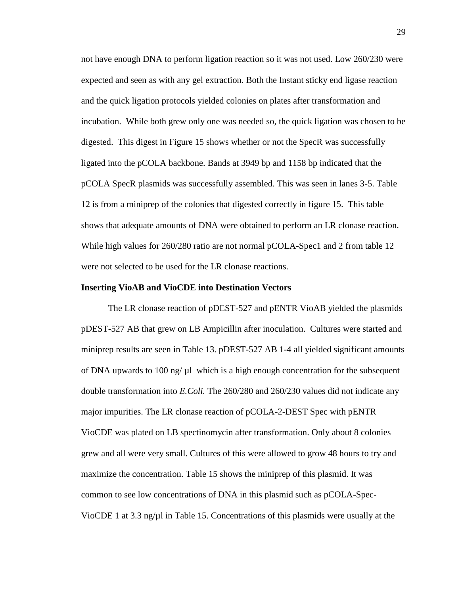not have enough DNA to perform ligation reaction so it was not used. Low 260/230 were expected and seen as with any gel extraction. Both the Instant sticky end ligase reaction and the quick ligation protocols yielded colonies on plates after transformation and incubation. While both grew only one was needed so, the quick ligation was chosen to be digested. This digest in Figure 15 shows whether or not the SpecR was successfully ligated into the pCOLA backbone. Bands at 3949 bp and 1158 bp indicated that the pCOLA SpecR plasmids was successfully assembled. This was seen in lanes 3-5. Table 12 is from a miniprep of the colonies that digested correctly in figure 15. This table shows that adequate amounts of DNA were obtained to perform an LR clonase reaction. While high values for 260/280 ratio are not normal pCOLA-Spec1 and 2 from table 12 were not selected to be used for the LR clonase reactions.

#### **Inserting VioAB and VioCDE into Destination Vectors**

The LR clonase reaction of pDEST-527 and pENTR VioAB yielded the plasmids pDEST-527 AB that grew on LB Ampicillin after inoculation. Cultures were started and miniprep results are seen in Table 13. pDEST-527 AB 1-4 all yielded significant amounts of DNA upwards to 100 ng/ $\mu$ l which is a high enough concentration for the subsequent double transformation into *E.Coli.* The 260/280 and 260/230 values did not indicate any major impurities. The LR clonase reaction of pCOLA-2-DEST Spec with pENTR VioCDE was plated on LB spectinomycin after transformation. Only about 8 colonies grew and all were very small. Cultures of this were allowed to grow 48 hours to try and maximize the concentration. Table 15 shows the miniprep of this plasmid. It was common to see low concentrations of DNA in this plasmid such as pCOLA-Spec-VioCDE 1 at 3.3 ng/ $\mu$ l in Table 15. Concentrations of this plasmids were usually at the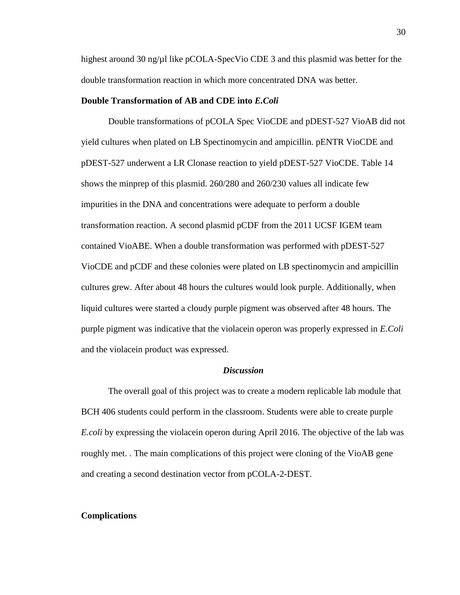highest around 30 ng/ $\mu$ l like pCOLA-SpecVio CDE 3 and this plasmid was better for the double transformation reaction in which more concentrated DNA was better.

## **Double Transformation of AB and CDE into** *E.Coli*

Double transformations of pCOLA Spec VioCDE and pDEST-527 VioAB did not yield cultures when plated on LB Spectinomycin and ampicillin. pENTR VioCDE and pDEST-527 underwent a LR Clonase reaction to yield pDEST-527 VioCDE. Table 14 shows the minprep of this plasmid. 260/280 and 260/230 values all indicate few impurities in the DNA and concentrations were adequate to perform a double transformation reaction. A second plasmid pCDF from the 2011 UCSF IGEM team contained VioABE. When a double transformation was performed with pDEST-527 VioCDE and pCDF and these colonies were plated on LB spectinomycin and ampicillin cultures grew. After about 48 hours the cultures would look purple. Additionally, when liquid cultures were started a cloudy purple pigment was observed after 48 hours. The purple pigment was indicative that the violacein operon was properly expressed in *E.Coli*  and the violacein product was expressed.

## *Discussion*

The overall goal of this project was to create a modern replicable lab module that BCH 406 students could perform in the classroom. Students were able to create purple *E.coli* by expressing the violacein operon during April 2016. The objective of the lab was roughly met. . The main complications of this project were cloning of the VioAB gene and creating a second destination vector from pCOLA-2-DEST.

#### **Complications**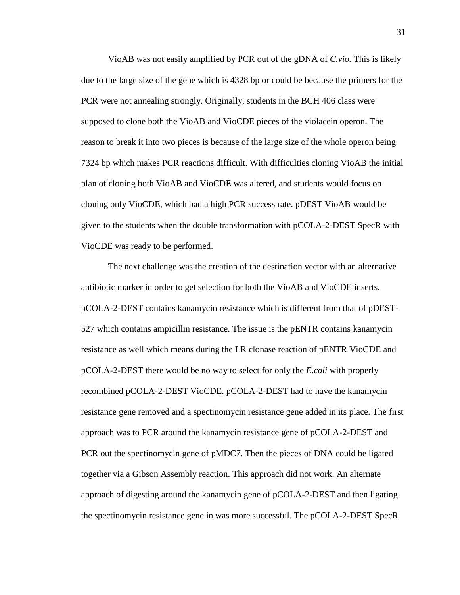VioAB was not easily amplified by PCR out of the gDNA of *C.vio.* This is likely due to the large size of the gene which is 4328 bp or could be because the primers for the PCR were not annealing strongly. Originally, students in the BCH 406 class were supposed to clone both the VioAB and VioCDE pieces of the violacein operon. The reason to break it into two pieces is because of the large size of the whole operon being 7324 bp which makes PCR reactions difficult. With difficulties cloning VioAB the initial plan of cloning both VioAB and VioCDE was altered, and students would focus on cloning only VioCDE, which had a high PCR success rate. pDEST VioAB would be given to the students when the double transformation with pCOLA-2-DEST SpecR with VioCDE was ready to be performed.

The next challenge was the creation of the destination vector with an alternative antibiotic marker in order to get selection for both the VioAB and VioCDE inserts. pCOLA-2-DEST contains kanamycin resistance which is different from that of pDEST-527 which contains ampicillin resistance. The issue is the pENTR contains kanamycin resistance as well which means during the LR clonase reaction of pENTR VioCDE and pCOLA-2-DEST there would be no way to select for only the *E.coli* with properly recombined pCOLA-2-DEST VioCDE. pCOLA-2-DEST had to have the kanamycin resistance gene removed and a spectinomycin resistance gene added in its place. The first approach was to PCR around the kanamycin resistance gene of pCOLA-2-DEST and PCR out the spectinomycin gene of pMDC7. Then the pieces of DNA could be ligated together via a Gibson Assembly reaction. This approach did not work. An alternate approach of digesting around the kanamycin gene of pCOLA-2-DEST and then ligating the spectinomycin resistance gene in was more successful. The pCOLA-2-DEST SpecR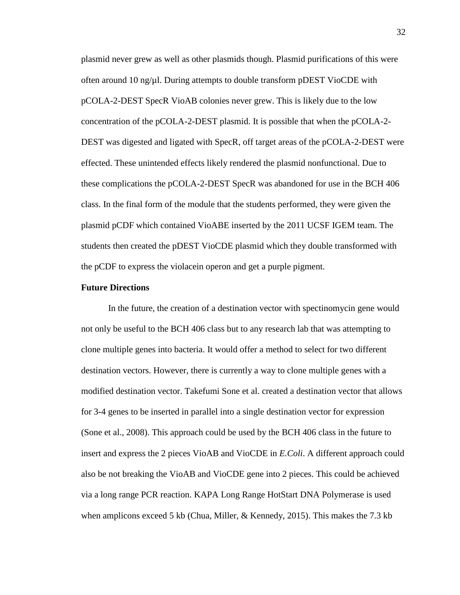plasmid never grew as well as other plasmids though. Plasmid purifications of this were often around 10 ng/ $\mu$ l. During attempts to double transform pDEST VioCDE with pCOLA-2-DEST SpecR VioAB colonies never grew. This is likely due to the low concentration of the pCOLA-2-DEST plasmid. It is possible that when the pCOLA-2- DEST was digested and ligated with SpecR, off target areas of the pCOLA-2-DEST were effected. These unintended effects likely rendered the plasmid nonfunctional. Due to these complications the pCOLA-2-DEST SpecR was abandoned for use in the BCH 406 class. In the final form of the module that the students performed, they were given the plasmid pCDF which contained VioABE inserted by the 2011 UCSF IGEM team. The students then created the pDEST VioCDE plasmid which they double transformed with the pCDF to express the violacein operon and get a purple pigment.

### **Future Directions**

In the future, the creation of a destination vector with spectinomycin gene would not only be useful to the BCH 406 class but to any research lab that was attempting to clone multiple genes into bacteria. It would offer a method to select for two different destination vectors. However, there is currently a way to clone multiple genes with a modified destination vector. Takefumi Sone et al. created a destination vector that allows for 3-4 genes to be inserted in parallel into a single destination vector for expression (Sone et al., 2008). This approach could be used by the BCH 406 class in the future to insert and express the 2 pieces VioAB and VioCDE in *E.Coli*. A different approach could also be not breaking the VioAB and VioCDE gene into 2 pieces. This could be achieved via a long range PCR reaction. KAPA Long Range HotStart DNA Polymerase is used when amplicons exceed 5 kb (Chua, Miller, & Kennedy, 2015). This makes the 7.3 kb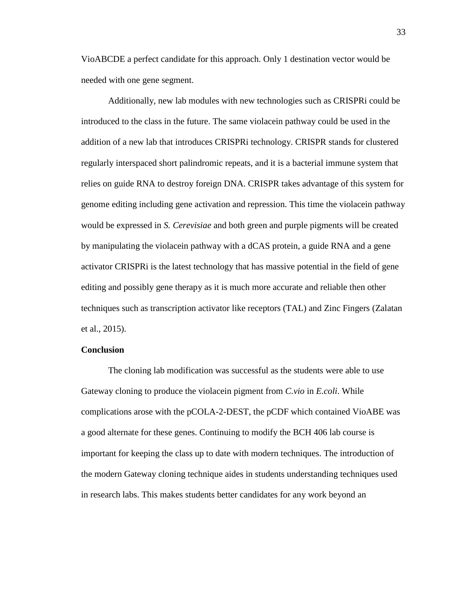VioABCDE a perfect candidate for this approach. Only 1 destination vector would be needed with one gene segment.

Additionally, new lab modules with new technologies such as CRISPRi could be introduced to the class in the future. The same violacein pathway could be used in the addition of a new lab that introduces CRISPRi technology. CRISPR stands for clustered regularly interspaced short palindromic repeats, and it is a bacterial immune system that relies on guide RNA to destroy foreign DNA. CRISPR takes advantage of this system for genome editing including gene activation and repression. This time the violacein pathway would be expressed in *S. Cerevisiae* and both green and purple pigments will be created by manipulating the violacein pathway with a dCAS protein, a guide RNA and a gene activator CRISPRi is the latest technology that has massive potential in the field of gene editing and possibly gene therapy as it is much more accurate and reliable then other techniques such as transcription activator like receptors (TAL) and Zinc Fingers (Zalatan et al., 2015).

## **Conclusion**

The cloning lab modification was successful as the students were able to use Gateway cloning to produce the violacein pigment from *C.vio* in *E.coli*. While complications arose with the pCOLA-2-DEST, the pCDF which contained VioABE was a good alternate for these genes. Continuing to modify the BCH 406 lab course is important for keeping the class up to date with modern techniques. The introduction of the modern Gateway cloning technique aides in students understanding techniques used in research labs. This makes students better candidates for any work beyond an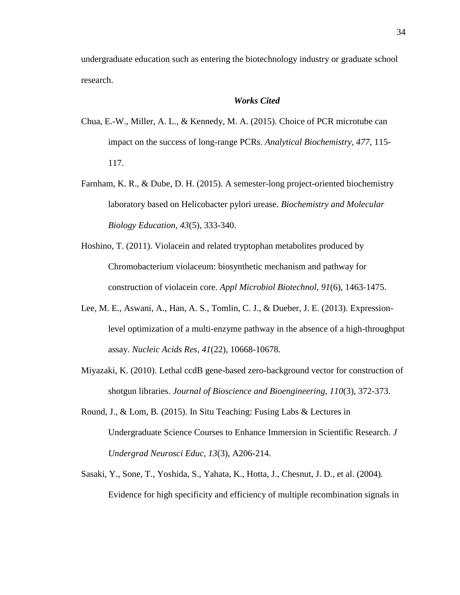undergraduate education such as entering the biotechnology industry or graduate school research.

# *Works Cited*

- Chua, E.-W., Miller, A. L., & Kennedy, M. A. (2015). Choice of PCR microtube can impact on the success of long-range PCRs. *Analytical Biochemistry, 477*, 115- 117.
- Farnham, K. R., & Dube, D. H. (2015). A semester-long project-oriented biochemistry laboratory based on Helicobacter pylori urease. *Biochemistry and Molecular Biology Education, 43*(5), 333-340.
- Hoshino, T. (2011). Violacein and related tryptophan metabolites produced by Chromobacterium violaceum: biosynthetic mechanism and pathway for construction of violacein core. *Appl Microbiol Biotechnol, 91*(6), 1463-1475.
- Lee, M. E., Aswani, A., Han, A. S., Tomlin, C. J., & Dueber, J. E. (2013). Expressionlevel optimization of a multi-enzyme pathway in the absence of a high-throughput assay. *Nucleic Acids Res, 41*(22), 10668-10678.
- Miyazaki, K. (2010). Lethal ccdB gene-based zero-background vector for construction of shotgun libraries. *Journal of Bioscience and Bioengineering, 110*(3), 372-373.
- Round, J., & Lom, B. (2015). In Situ Teaching: Fusing Labs & Lectures in Undergraduate Science Courses to Enhance Immersion in Scientific Research. *J Undergrad Neurosci Educ, 13*(3), A206-214.
- Sasaki, Y., Sone, T., Yoshida, S., Yahata, K., Hotta, J., Chesnut, J. D., et al. (2004). Evidence for high specificity and efficiency of multiple recombination signals in